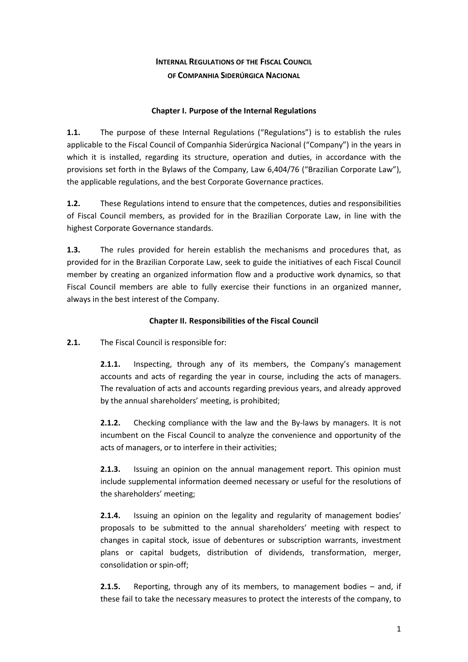# **INTERNAL REGULATIONS OF THE FISCAL COUNCIL OF COMPANHIA SIDERÚRGICA NACIONAL**

#### **Chapter I. Purpose of the Internal Regulations**

**1.1.** The purpose of these Internal Regulations ("Regulations") is to establish the rules applicable to the Fiscal Council of Companhia Siderúrgica Nacional ("Company") in the years in which it is installed, regarding its structure, operation and duties, in accordance with the provisions set forth in the Bylaws of the Company, Law 6,404/76 ("Brazilian Corporate Law"), the applicable regulations, and the best Corporate Governance practices.

**1.2.** These Regulations intend to ensure that the competences, duties and responsibilities of Fiscal Council members, as provided for in the Brazilian Corporate Law, in line with the highest Corporate Governance standards.

**1.3.** The rules provided for herein establish the mechanisms and procedures that, as provided for in the Brazilian Corporate Law, seek to guide the initiatives of each Fiscal Council member by creating an organized information flow and a productive work dynamics, so that Fiscal Council members are able to fully exercise their functions in an organized manner, always in the best interest of the Company.

## **Chapter II. Responsibilities of the Fiscal Council**

**2.1.** The Fiscal Council is responsible for:

**2.1.1.** Inspecting, through any of its members, the Company's management accounts and acts of regarding the year in course, including the acts of managers. The revaluation of acts and accounts regarding previous years, and already approved by the annual shareholders' meeting, is prohibited;

**2.1.2.** Checking compliance with the law and the By-laws by managers. It is not incumbent on the Fiscal Council to analyze the convenience and opportunity of the acts of managers, or to interfere in their activities;

**2.1.3.** Issuing an opinion on the annual management report. This opinion must include supplemental information deemed necessary or useful for the resolutions of the shareholders' meeting;

**2.1.4.** Issuing an opinion on the legality and regularity of management bodies' proposals to be submitted to the annual shareholders' meeting with respect to changes in capital stock, issue of debentures or subscription warrants, investment plans or capital budgets, distribution of dividends, transformation, merger, consolidation or spin-off;

**2.1.5.** Reporting, through any of its members, to management bodies – and, if these fail to take the necessary measures to protect the interests of the company, to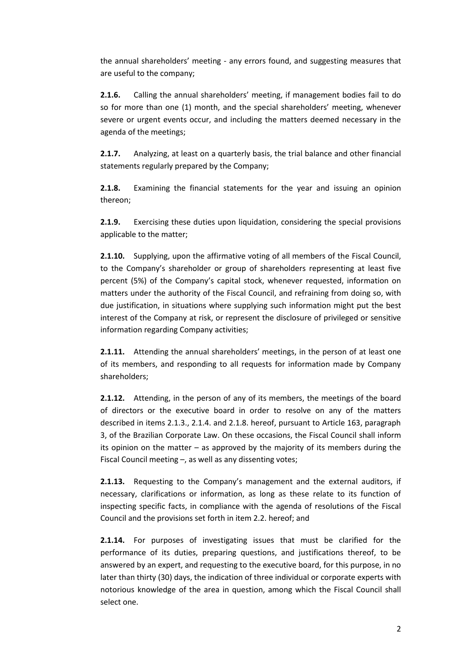the annual shareholders' meeting - any errors found, and suggesting measures that are useful to the company;

**2.1.6.** Calling the annual shareholders' meeting, if management bodies fail to do so for more than one (1) month, and the special shareholders' meeting, whenever severe or urgent events occur, and including the matters deemed necessary in the agenda of the meetings;

**2.1.7.** Analyzing, at least on a quarterly basis, the trial balance and other financial statements regularly prepared by the Company;

**2.1.8.** Examining the financial statements for the year and issuing an opinion thereon;

**2.1.9.** Exercising these duties upon liquidation, considering the special provisions applicable to the matter;

**2.1.10.** Supplying, upon the affirmative voting of all members of the Fiscal Council, to the Company's shareholder or group of shareholders representing at least five percent (5%) of the Company's capital stock, whenever requested, information on matters under the authority of the Fiscal Council, and refraining from doing so, with due justification, in situations where supplying such information might put the best interest of the Company at risk, or represent the disclosure of privileged or sensitive information regarding Company activities;

**2.1.11.** Attending the annual shareholders' meetings, in the person of at least one of its members, and responding to all requests for information made by Company shareholders;

**2.1.12.** Attending, in the person of any of its members, the meetings of the board of directors or the executive board in order to resolve on any of the matters described in items 2.1.3., 2.1.4. and 2.1.8. hereof, pursuant to Article 163, paragraph 3, of the Brazilian Corporate Law. On these occasions, the Fiscal Council shall inform its opinion on the matter – as approved by the majority of its members during the Fiscal Council meeting –, as well as any dissenting votes;

**2.1.13.** Requesting to the Company's management and the external auditors, if necessary, clarifications or information, as long as these relate to its function of inspecting specific facts, in compliance with the agenda of resolutions of the Fiscal Council and the provisions set forth in item 2.2. hereof; and

**2.1.14.** For purposes of investigating issues that must be clarified for the performance of its duties, preparing questions, and justifications thereof, to be answered by an expert, and requesting to the executive board, for this purpose, in no later than thirty (30) days, the indication of three individual or corporate experts with notorious knowledge of the area in question, among which the Fiscal Council shall select one.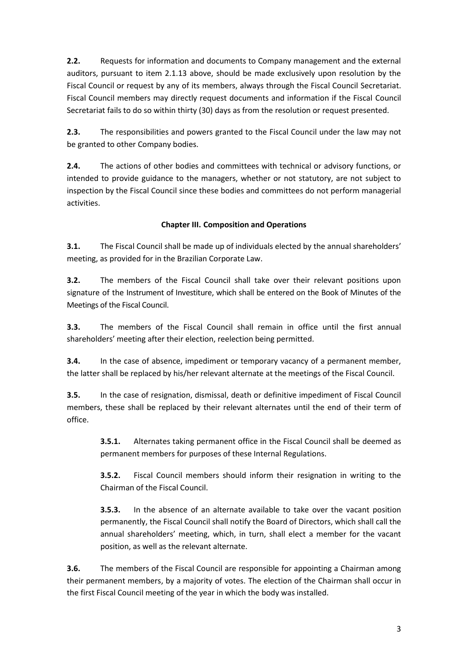**2.2.** Requests for information and documents to Company management and the external auditors, pursuant to item 2.1.13 above, should be made exclusively upon resolution by the Fiscal Council or request by any of its members, always through the Fiscal Council Secretariat. Fiscal Council members may directly request documents and information if the Fiscal Council Secretariat fails to do so within thirty (30) days as from the resolution or request presented.

**2.3.** The responsibilities and powers granted to the Fiscal Council under the law may not be granted to other Company bodies.

**2.4.** The actions of other bodies and committees with technical or advisory functions, or intended to provide guidance to the managers, whether or not statutory, are not subject to inspection by the Fiscal Council since these bodies and committees do not perform managerial activities.

# **Chapter III. Composition and Operations**

**3.1.** The Fiscal Council shall be made up of individuals elected by the annual shareholders' meeting, as provided for in the Brazilian Corporate Law.

**3.2.** The members of the Fiscal Council shall take over their relevant positions upon signature of the Instrument of Investiture, which shall be entered on the Book of Minutes of the Meetings of the Fiscal Council.

**3.3.** The members of the Fiscal Council shall remain in office until the first annual shareholders' meeting after their election, reelection being permitted.

**3.4.** In the case of absence, impediment or temporary vacancy of a permanent member, the latter shall be replaced by his/her relevant alternate at the meetings of the Fiscal Council.

**3.5.** In the case of resignation, dismissal, death or definitive impediment of Fiscal Council members, these shall be replaced by their relevant alternates until the end of their term of office.

**3.5.1.** Alternates taking permanent office in the Fiscal Council shall be deemed as permanent members for purposes of these Internal Regulations.

**3.5.2.** Fiscal Council members should inform their resignation in writing to the Chairman of the Fiscal Council.

**3.5.3.** In the absence of an alternate available to take over the vacant position permanently, the Fiscal Council shall notify the Board of Directors, which shall call the annual shareholders' meeting, which, in turn, shall elect a member for the vacant position, as well as the relevant alternate.

**3.6.** The members of the Fiscal Council are responsible for appointing a Chairman among their permanent members, by a majority of votes. The election of the Chairman shall occur in the first Fiscal Council meeting of the year in which the body was installed.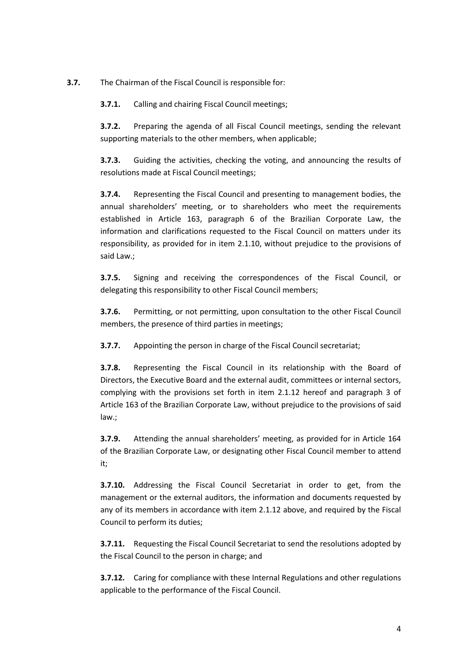**3.7.** The Chairman of the Fiscal Council is responsible for:

**3.7.1.** Calling and chairing Fiscal Council meetings;

**3.7.2.** Preparing the agenda of all Fiscal Council meetings, sending the relevant supporting materials to the other members, when applicable;

**3.7.3.** Guiding the activities, checking the voting, and announcing the results of resolutions made at Fiscal Council meetings;

**3.7.4.** Representing the Fiscal Council and presenting to management bodies, the annual shareholders' meeting, or to shareholders who meet the requirements established in Article 163, paragraph 6 of the Brazilian Corporate Law, the information and clarifications requested to the Fiscal Council on matters under its responsibility, as provided for in item 2.1.10, without prejudice to the provisions of said Law.;

**3.7.5.** Signing and receiving the correspondences of the Fiscal Council, or delegating this responsibility to other Fiscal Council members;

**3.7.6.** Permitting, or not permitting, upon consultation to the other Fiscal Council members, the presence of third parties in meetings;

**3.7.7.** Appointing the person in charge of the Fiscal Council secretariat;

**3.7.8.** Representing the Fiscal Council in its relationship with the Board of Directors, the Executive Board and the external audit, committees or internal sectors, complying with the provisions set forth in item 2.1.12 hereof and paragraph 3 of Article 163 of the Brazilian Corporate Law, without prejudice to the provisions of said law.;

**3.7.9.** Attending the annual shareholders' meeting, as provided for in Article 164 of the Brazilian Corporate Law, or designating other Fiscal Council member to attend it;

**3.7.10.** Addressing the Fiscal Council Secretariat in order to get, from the management or the external auditors, the information and documents requested by any of its members in accordance with item 2.1.12 above, and required by the Fiscal Council to perform its duties;

**3.7.11.** Requesting the Fiscal Council Secretariat to send the resolutions adopted by the Fiscal Council to the person in charge; and

**3.7.12.** Caring for compliance with these Internal Regulations and other regulations applicable to the performance of the Fiscal Council.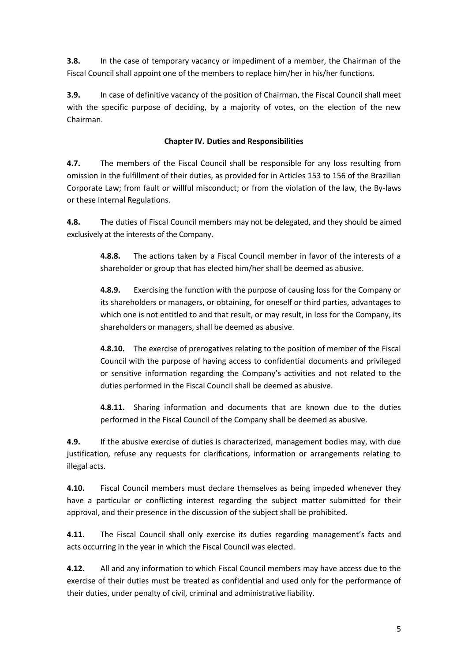**3.8.** In the case of temporary vacancy or impediment of a member, the Chairman of the Fiscal Council shall appoint one of the members to replace him/her in his/her functions.

**3.9.** In case of definitive vacancy of the position of Chairman, the Fiscal Council shall meet with the specific purpose of deciding, by a majority of votes, on the election of the new Chairman.

### **Chapter IV. Duties and Responsibilities**

**4.7.** The members of the Fiscal Council shall be responsible for any loss resulting from omission in the fulfillment of their duties, as provided for in Articles 153 to 156 of the Brazilian Corporate Law; from fault or willful misconduct; or from the violation of the law, the By-laws or these Internal Regulations.

**4.8.** The duties of Fiscal Council members may not be delegated, and they should be aimed exclusively at the interests of the Company.

**4.8.8.** The actions taken by a Fiscal Council member in favor of the interests of a shareholder or group that has elected him/her shall be deemed as abusive.

**4.8.9.** Exercising the function with the purpose of causing loss for the Company or its shareholders or managers, or obtaining, for oneself or third parties, advantages to which one is not entitled to and that result, or may result, in loss for the Company, its shareholders or managers, shall be deemed as abusive.

**4.8.10.** The exercise of prerogatives relating to the position of member of the Fiscal Council with the purpose of having access to confidential documents and privileged or sensitive information regarding the Company's activities and not related to the duties performed in the Fiscal Council shall be deemed as abusive.

**4.8.11.** Sharing information and documents that are known due to the duties performed in the Fiscal Council of the Company shall be deemed as abusive.

**4.9.** If the abusive exercise of duties is characterized, management bodies may, with due justification, refuse any requests for clarifications, information or arrangements relating to illegal acts.

**4.10.** Fiscal Council members must declare themselves as being impeded whenever they have a particular or conflicting interest regarding the subject matter submitted for their approval, and their presence in the discussion of the subject shall be prohibited.

**4.11.** The Fiscal Council shall only exercise its duties regarding management's facts and acts occurring in the year in which the Fiscal Council was elected.

**4.12.** All and any information to which Fiscal Council members may have access due to the exercise of their duties must be treated as confidential and used only for the performance of their duties, under penalty of civil, criminal and administrative liability.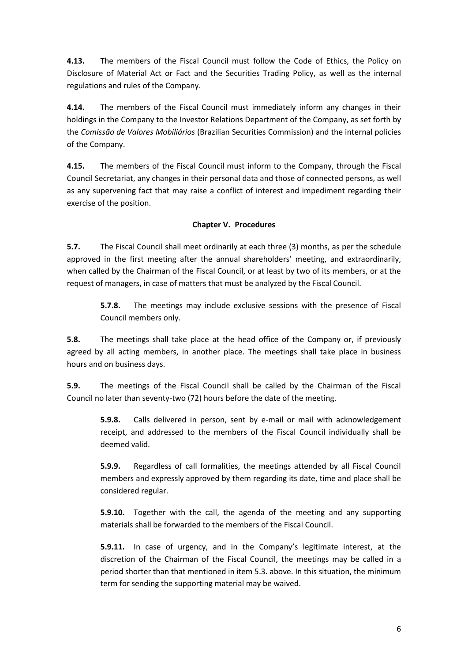**4.13.** The members of the Fiscal Council must follow the Code of Ethics, the Policy on Disclosure of Material Act or Fact and the Securities Trading Policy, as well as the internal regulations and rules of the Company.

**4.14.** The members of the Fiscal Council must immediately inform any changes in their holdings in the Company to the Investor Relations Department of the Company, as set forth by the *Comissão de Valores Mobiliários* (Brazilian Securities Commission) and the internal policies of the Company.

**4.15.** The members of the Fiscal Council must inform to the Company, through the Fiscal Council Secretariat, any changes in their personal data and those of connected persons, as well as any supervening fact that may raise a conflict of interest and impediment regarding their exercise of the position.

### **Chapter V. Procedures**

**5.7.** The Fiscal Council shall meet ordinarily at each three (3) months, as per the schedule approved in the first meeting after the annual shareholders' meeting, and extraordinarily, when called by the Chairman of the Fiscal Council, or at least by two of its members, or at the request of managers, in case of matters that must be analyzed by the Fiscal Council.

**5.7.8.** The meetings may include exclusive sessions with the presence of Fiscal Council members only.

**5.8.** The meetings shall take place at the head office of the Company or, if previously agreed by all acting members, in another place. The meetings shall take place in business hours and on business days.

**5.9.** The meetings of the Fiscal Council shall be called by the Chairman of the Fiscal Council no later than seventy-two (72) hours before the date of the meeting.

**5.9.8.** Calls delivered in person, sent by e-mail or mail with acknowledgement receipt, and addressed to the members of the Fiscal Council individually shall be deemed valid.

**5.9.9.** Regardless of call formalities, the meetings attended by all Fiscal Council members and expressly approved by them regarding its date, time and place shall be considered regular.

**5.9.10.** Together with the call, the agenda of the meeting and any supporting materials shall be forwarded to the members of the Fiscal Council.

**5.9.11.** In case of urgency, and in the Company's legitimate interest, at the discretion of the Chairman of the Fiscal Council, the meetings may be called in a period shorter than that mentioned in item 5.3. above. In this situation, the minimum term for sending the supporting material may be waived.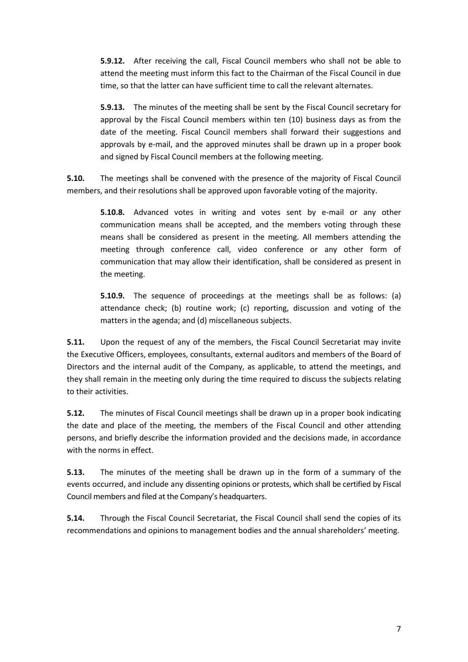**5.9.12.** After receiving the call, Fiscal Council members who shall not be able to attend the meeting must inform this fact to the Chairman of the Fiscal Council in due time, so that the latter can have sufficient time to call the relevant alternates.

**5.9.13.** The minutes of the meeting shall be sent by the Fiscal Council secretary for approval by the Fiscal Council members within ten (10) business days as from the date of the meeting. Fiscal Council members shall forward their suggestions and approvals by e-mail, and the approved minutes shall be drawn up in a proper book and signed by Fiscal Council members at the following meeting.

**5.10.** The meetings shall be convened with the presence of the majority of Fiscal Council members, and their resolutions shall be approved upon favorable voting of the majority.

**5.10.8.** Advanced votes in writing and votes sent by e-mail or any other communication means shall be accepted, and the members voting through these means shall be considered as present in the meeting. All members attending the meeting through conference call, video conference or any other form of communication that may allow their identification, shall be considered as present in the meeting.

**5.10.9.** The sequence of proceedings at the meetings shall be as follows: (a) attendance check; (b) routine work; (c) reporting, discussion and voting of the matters in the agenda; and (d) miscellaneous subjects.

**5.11.** Upon the request of any of the members, the Fiscal Council Secretariat may invite the Executive Officers, employees, consultants, external auditors and members of the Board of Directors and the internal audit of the Company, as applicable, to attend the meetings, and they shall remain in the meeting only during the time required to discuss the subjects relating to their activities.

**5.12.** The minutes of Fiscal Council meetings shall be drawn up in a proper book indicating the date and place of the meeting, the members of the Fiscal Council and other attending persons, and briefly describe the information provided and the decisions made, in accordance with the norms in effect.

**5.13.** The minutes of the meeting shall be drawn up in the form of a summary of the events occurred, and include any dissenting opinions or protests, which shall be certified by Fiscal Council members and filed at the Company's headquarters.

**5.14.** Through the Fiscal Council Secretariat, the Fiscal Council shall send the copies of its recommendations and opinions to management bodies and the annual shareholders' meeting.